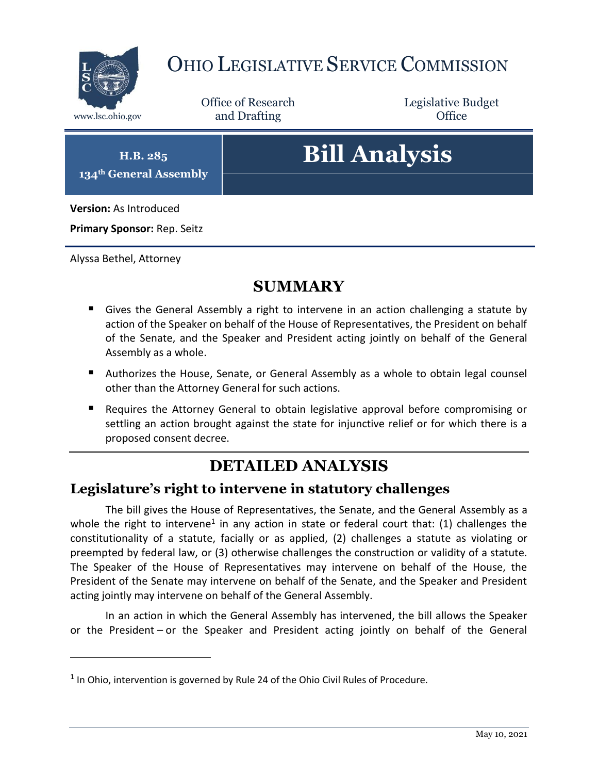

# OHIO LEGISLATIVE SERVICE COMMISSION

Office of Research www.lsc.ohio.gov **and Drafting Office** 

Legislative Budget

**H.B. 285 134th General Assembly**

# **Bill Analysis**

**Version:** As Introduced

**Primary Sponsor:** Rep. Seitz

Alyssa Bethel, Attorney

 $\overline{a}$ 

## **SUMMARY**

- Gives the General Assembly a right to intervene in an action challenging a statute by action of the Speaker on behalf of the House of Representatives, the President on behalf of the Senate, and the Speaker and President acting jointly on behalf of the General Assembly as a whole.
- Authorizes the House, Senate, or General Assembly as a whole to obtain legal counsel other than the Attorney General for such actions.
- Requires the Attorney General to obtain legislative approval before compromising or settling an action brought against the state for injunctive relief or for which there is a proposed consent decree.

# **DETAILED ANALYSIS**

#### **Legislature's right to intervene in statutory challenges**

The bill gives the House of Representatives, the Senate, and the General Assembly as a whole the right to intervene<sup>1</sup> in any action in state or federal court that: (1) challenges the constitutionality of a statute, facially or as applied, (2) challenges a statute as violating or preempted by federal law, or (3) otherwise challenges the construction or validity of a statute. The Speaker of the House of Representatives may intervene on behalf of the House, the President of the Senate may intervene on behalf of the Senate, and the Speaker and President acting jointly may intervene on behalf of the General Assembly.

In an action in which the General Assembly has intervened, the bill allows the Speaker or the President – or the Speaker and President acting jointly on behalf of the General

 $<sup>1</sup>$  In Ohio, intervention is governed by Rule 24 of the Ohio Civil Rules of Procedure.</sup>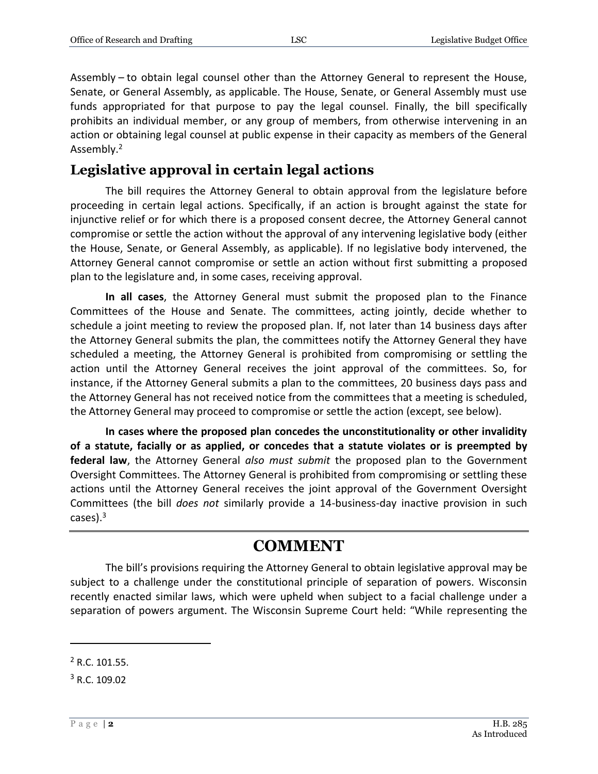Assembly – to obtain legal counsel other than the Attorney General to represent the House, Senate, or General Assembly, as applicable. The House, Senate, or General Assembly must use funds appropriated for that purpose to pay the legal counsel. Finally, the bill specifically prohibits an individual member, or any group of members, from otherwise intervening in an action or obtaining legal counsel at public expense in their capacity as members of the General Assembly.<sup>2</sup>

#### **Legislative approval in certain legal actions**

The bill requires the Attorney General to obtain approval from the legislature before proceeding in certain legal actions. Specifically, if an action is brought against the state for injunctive relief or for which there is a proposed consent decree, the Attorney General cannot compromise or settle the action without the approval of any intervening legislative body (either the House, Senate, or General Assembly, as applicable). If no legislative body intervened, the Attorney General cannot compromise or settle an action without first submitting a proposed plan to the legislature and, in some cases, receiving approval.

**In all cases**, the Attorney General must submit the proposed plan to the Finance Committees of the House and Senate. The committees, acting jointly, decide whether to schedule a joint meeting to review the proposed plan. If, not later than 14 business days after the Attorney General submits the plan, the committees notify the Attorney General they have scheduled a meeting, the Attorney General is prohibited from compromising or settling the action until the Attorney General receives the joint approval of the committees. So, for instance, if the Attorney General submits a plan to the committees, 20 business days pass and the Attorney General has not received notice from the committees that a meeting is scheduled, the Attorney General may proceed to compromise or settle the action (except, see below).

**In cases where the proposed plan concedes the unconstitutionality or other invalidity of a statute, facially or as applied, or concedes that a statute violates or is preempted by federal law**, the Attorney General *also must submit* the proposed plan to the Government Oversight Committees. The Attorney General is prohibited from compromising or settling these actions until the Attorney General receives the joint approval of the Government Oversight Committees (the bill *does not* similarly provide a 14-business-day inactive provision in such cases). $3$ 

### **COMMENT**

The bill's provisions requiring the Attorney General to obtain legislative approval may be subject to a challenge under the constitutional principle of separation of powers. Wisconsin recently enacted similar laws, which were upheld when subject to a facial challenge under a separation of powers argument. The Wisconsin Supreme Court held: "While representing the

 $\overline{a}$ 

 $2$  R.C. 101.55.

<sup>3</sup> R.C. 109.02